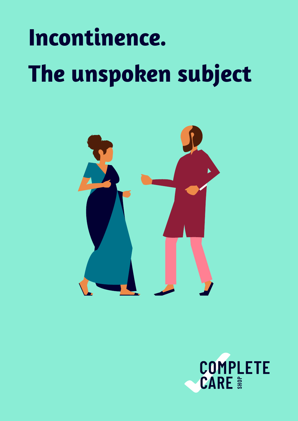# **Incontinence. The unspoken subject**



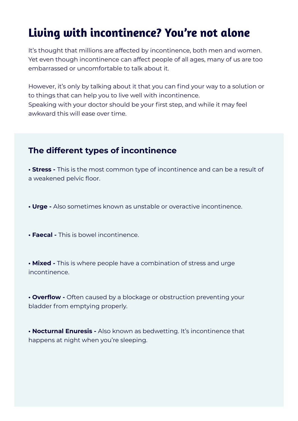# **Living with incontinence? You're not alone**

It's thought that millions are affected by incontinence, both men and women. Yet even though incontinence can affect people of all ages, many of us are too embarrassed or uncomfortable to talk about it.

However, it's only by talking about it that you can find your way to a solution or to things that can help you to live well with incontinence. Speaking with your doctor should be your first step, and while it may feel awkward this will ease over time.

#### **The different types of incontinence**

**• Stress -** This is the most common type of incontinence and can be a result of a weakened pelvic floor.

**• Urge -** Also sometimes known as unstable or overactive incontinence.

**• Faecal -** This is bowel incontinence.

**• Mixed -** This is where people have a combination of stress and urge incontinence.

**• Overflow -** Often caused by a blockage or obstruction preventing your bladder from emptying properly.

**• Nocturnal Enuresis -** Also known as bedwetting. It's incontinence that happens at night when you're sleeping.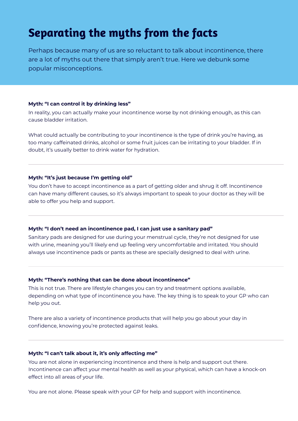# **Separating the myths from the facts**

Perhaps because many of us are so reluctant to talk about incontinence, there are a lot of myths out there that simply aren't true. Here we debunk some popular misconceptions.

#### **Myth: "I can control it by drinking less"**

In reality, you can actually make your incontinence worse by not drinking enough, as this can cause bladder irritation.

What could actually be contributing to your incontinence is the type of drink you're having, as too many caffeinated drinks, alcohol or some fruit juices can be irritating to your bladder. If in doubt, it's usually better to drink water for hydration.

#### **Myth: "It's just because I'm getting old"**

You don't have to accept incontinence as a part of getting older and shrug it off. Incontinence can have many different causes, so it's always important to speak to your doctor as they will be able to offer you help and support.

#### **Myth: "I don't need an incontinence pad, I can just use a sanitary pad"**

Sanitary pads are designed for use during your menstrual cycle, they're not designed for use with urine, meaning you'll likely end up feeling very uncomfortable and irritated. You should always use incontinence pads or pants as these are specially designed to deal with urine.

#### **Myth: "There's nothing that can be done about incontinence"**

This is not true. There are lifestyle changes you can try and treatment options available, depending on what type of incontinence you have. The key thing is to speak to your GP who can help you out.

There are also a variety of incontinence products that will help you go about your day in confidence, knowing you're protected against leaks.

#### **Myth: "I can't talk about it, it's only affecting me"**

You are not alone in experiencing incontinence and there is help and support out there. Incontinence can affect your mental health as well as your physical, which can have a knock-on effect into all areas of your life.

You are not alone. Please speak with your GP for help and support with incontinence.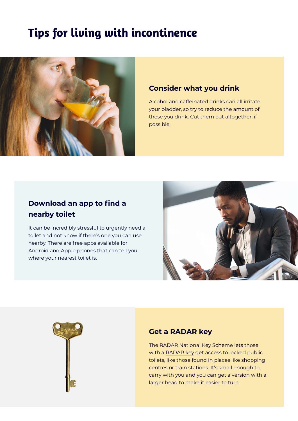# **Tips for living with incontinence**



#### **Consider what you drink**

Alcohol and caffeinated drinks can all irritate your bladder, so try to reduce the amount of these you drink. Cut them out altogether, if possible.

#### **Download an app to find a nearby toilet**

It can be incredibly stressful to urgently need a toilet and not know if there's one you can use nearby. There are free apps available for Android and Apple phones that can tell you where your nearest toilet is.





#### **Get a RADAR key**

The RADAR National Key Scheme lets those with a [RADAR key](https://www.completecareshop.co.uk/bathroom-aids/toileting-aids/radar-toilet-keys/radar-toilet-key-small-head?sku=Q34626) get access to locked public toilets, like those found in places like shopping centres or train stations. It's small enough to carry with you and you can get a version with a larger head to make it easier to turn.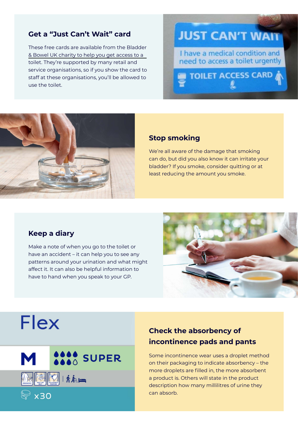#### **Get a "Just Can't Wait" card**

[These free cards are available from the Bladder](https://www.bbuk.org.uk/just-cant-wait-cards/)  & Bowel UK charity to help you get access to a toilet. They're supported by many retail and service organisations, so if you show the card to staff at these organisations, you'll be allowed to use the toilet.

## **JUST CAN'T WAIT**

I have a medical condition and need to access a toilet urgently

**TOILET ACCESS CARD** 

#### **Stop smoking**

We're all aware of the damage that smoking can do, but did you also know it can irritate your bladder? If you smoke, consider quitting or at least reducing the amount you smoke.

#### **Keep a diary**

Make a note of when you go to the toilet or have an accident – it can help you to see any patterns around your urination and what might affect it. It can also be helpful information to have to hand when you speak to your GP.



# **Flex**



#### **Check the absorbency of incontinence pads and pants**

Some incontinence wear uses a droplet method on their packaging to indicate absorbency – the more droplets are filled in, the more absorbent a product is. Others will state in the product description how many millilitres of urine they can absorb.